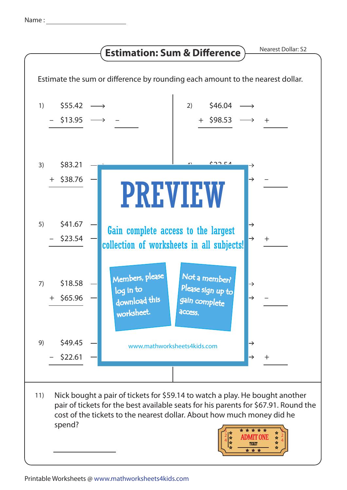